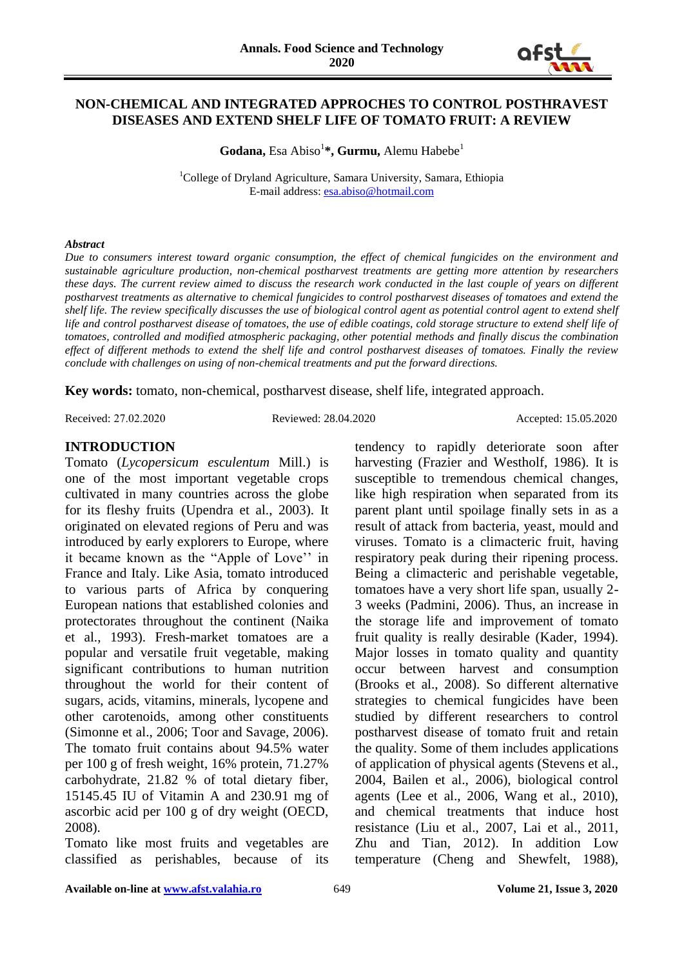

#### **NON-CHEMICAL AND INTEGRATED APPROCHES TO CONTROL POSTHRAVEST DISEASES AND EXTEND SHELF LIFE OF TOMATO FRUIT: A REVIEW**

Godana, Esa Abiso<sup>1</sup>\*, Gurmu, Alemu Habebe<sup>1</sup>

<sup>1</sup>College of Dryland Agriculture, Samara University, Samara, Ethiopia E-mail address: [esa.abiso@hotmail.com](mailto:esa.abiso@hotmail.com)

#### *Abstract*

*Due to consumers interest toward organic consumption, the effect of chemical fungicides on the environment and sustainable agriculture production, non-chemical postharvest treatments are getting more attention by researchers these days. The current review aimed to discuss the research work conducted in the last couple of years on different postharvest treatments as alternative to chemical fungicides to control postharvest diseases of tomatoes and extend the shelf life. The review specifically discusses the use of biological control agent as potential control agent to extend shelf life and control postharvest disease of tomatoes, the use of edible coatings, cold storage structure to extend shelf life of tomatoes, controlled and modified atmospheric packaging, other potential methods and finally discus the combination effect of different methods to extend the shelf life and control postharvest diseases of tomatoes. Finally the review conclude with challenges on using of non-chemical treatments and put the forward directions.*

**Key words:** tomato, non-chemical, postharvest disease, shelf life, integrated approach.

Received: 27.02.2020 Reviewed: 28.04.2020 Accepted: 15.05.2020

#### **INTRODUCTION**

Tomato (*Lycopersicum esculentum* Mill.) is one of the most important vegetable crops cultivated in many countries across the globe for its fleshy fruits (Upendra et al., 2003). It originated on elevated regions of Peru and was introduced by early explorers to Europe, where it became known as the "Apple of Love'' in France and Italy. Like Asia, tomato introduced to various parts of Africa by conquering European nations that established colonies and protectorates throughout the continent (Naika et al., 1993). Fresh-market tomatoes are a popular and versatile fruit vegetable, making significant contributions to human nutrition throughout the world for their content of sugars, acids, vitamins, minerals, lycopene and other carotenoids, among other constituents (Simonne et al., 2006; Toor and Savage, 2006). The tomato fruit contains about 94.5% water per 100 g of fresh weight, 16% protein, 71.27% carbohydrate, 21.82 % of total dietary fiber, 15145.45 IU of Vitamin A and 230.91 mg of ascorbic acid per 100 g of dry weight (OECD, 2008).

Tomato like most fruits and vegetables are classified as perishables, because of its

tendency to rapidly deteriorate soon after harvesting (Frazier and Westholf, 1986). It is susceptible to tremendous chemical changes, like high respiration when separated from its parent plant until spoilage finally sets in as a result of attack from bacteria, yeast, mould and viruses. Tomato is a climacteric fruit, having respiratory peak during their ripening process. Being a climacteric and perishable vegetable, tomatoes have a very short life span, usually 2- 3 weeks (Padmini, 2006). Thus, an increase in the storage life and improvement of tomato fruit quality is really desirable (Kader, 1994). Major losses in tomato quality and quantity occur between harvest and consumption (Brooks et al., 2008). So different alternative strategies to chemical fungicides have been studied by different researchers to control postharvest disease of tomato fruit and retain the quality. Some of them includes applications of application of physical agents (Stevens et al., 2004, Bailen et al., 2006), biological control agents (Lee et al., 2006, Wang et al., 2010), and chemical treatments that induce host resistance (Liu et al., 2007, Lai et al., 2011, Zhu and Tian, 2012). In addition Low temperature (Cheng and Shewfelt, 1988),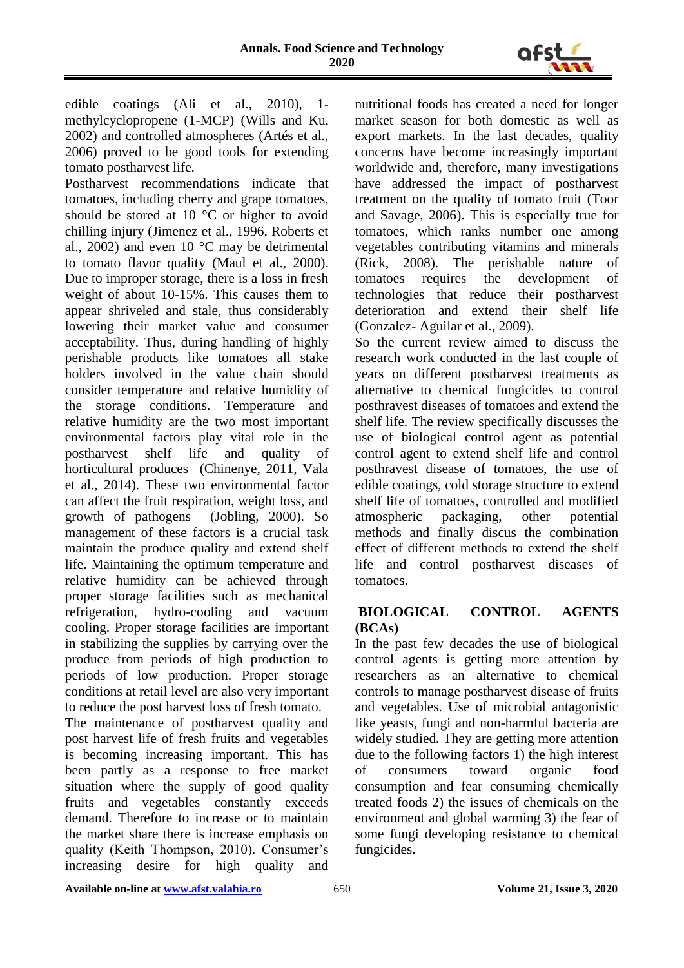

edible coatings (Ali et al., 2010), 1 methylcyclopropene (1-MCP) (Wills and Ku, 2002) and controlled atmospheres (Artés et al., 2006) proved to be good tools for extending tomato postharvest life.

Postharvest recommendations indicate that tomatoes, including cherry and grape tomatoes, should be stored at 10 °C or higher to avoid chilling injury (Jimenez et al., 1996, Roberts et al., 2002) and even  $10^{\circ}$ C may be detrimental to tomato flavor quality (Maul et al., 2000). Due to improper storage, there is a loss in fresh weight of about 10-15%. This causes them to appear shriveled and stale, thus considerably lowering their market value and consumer acceptability. Thus, during handling of highly perishable products like tomatoes all stake holders involved in the value chain should consider temperature and relative humidity of the storage conditions. Temperature and relative humidity are the two most important environmental factors play vital role in the<br>postharvest shelf life and quality of postharvest shelf life and quality of horticultural produces (Chinenye, 2011, Vala et al., 2014). These two environmental factor can affect the fruit respiration, weight loss, and growth of pathogens (Jobling, 2000). So management of these factors is a crucial task maintain the produce quality and extend shelf life. Maintaining the optimum temperature and relative humidity can be achieved through proper storage facilities such as mechanical refrigeration, hydro-cooling and vacuum cooling. Proper storage facilities are important in stabilizing the supplies by carrying over the produce from periods of high production to periods of low production. Proper storage conditions at retail level are also very important to reduce the post harvest loss of fresh tomato.

The maintenance of postharvest quality and post harvest life of fresh fruits and vegetables is becoming increasing important. This has been partly as a response to free market situation where the supply of good quality fruits and vegetables constantly exceeds demand. Therefore to increase or to maintain the market share there is increase emphasis on quality (Keith Thompson, 2010). Consumer's increasing desire for high quality and nutritional foods has created a need for longer market season for both domestic as well as export markets. In the last decades, quality concerns have become increasingly important worldwide and, therefore, many investigations have addressed the impact of postharvest treatment on the quality of tomato fruit (Toor and Savage, 2006). This is especially true for tomatoes, which ranks number one among vegetables contributing vitamins and minerals (Rick, 2008). The perishable nature of tomatoes requires the development of technologies that reduce their postharvest deterioration and extend their shelf life (Gonzalez- Aguilar et al., 2009).

So the current review aimed to discuss the research work conducted in the last couple of years on different postharvest treatments as alternative to chemical fungicides to control posthravest diseases of tomatoes and extend the shelf life. The review specifically discusses the use of biological control agent as potential control agent to extend shelf life and control posthravest disease of tomatoes, the use of edible coatings, cold storage structure to extend shelf life of tomatoes, controlled and modified atmospheric packaging, other potential methods and finally discus the combination effect of different methods to extend the shelf life and control postharvest diseases of tomatoes.

# **BIOLOGICAL CONTROL AGENTS (BCAs)**

In the past few decades the use of biological control agents is getting more attention by researchers as an alternative to chemical controls to manage postharvest disease of fruits and vegetables. Use of microbial antagonistic like yeasts, fungi and non-harmful bacteria are widely studied. They are getting more attention due to the following factors 1) the high interest of consumers toward organic food consumption and fear consuming chemically treated foods 2) the issues of chemicals on the environment and global warming 3) the fear of some fungi developing resistance to chemical fungicides.

**Available on-line at <u>www.afst.valahia.ro</u> 650 650 650 650 650 612 7 Volume 21, Issue 3, 2020**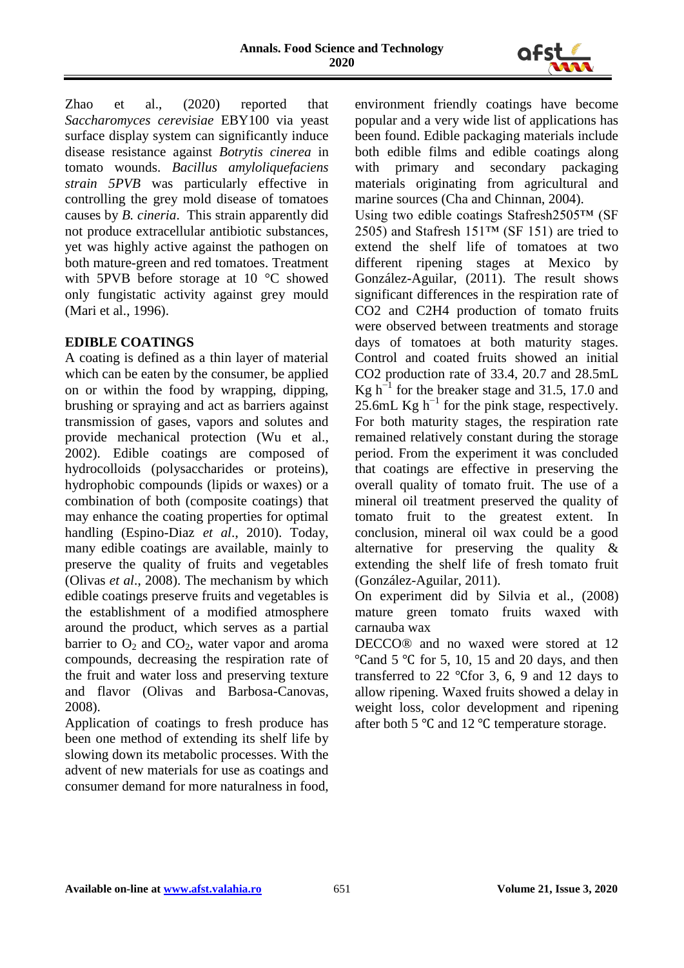

Zhao et al., (2020) reported that *Saccharomyces cerevisiae* EBY100 via yeast surface display system can significantly induce disease resistance against *Botrytis cinerea* in tomato wounds. *Bacillus amyloliquefaciens strain 5PVB* was particularly effective in controlling the grey mold disease of tomatoes causes by *B. cineria*. This strain apparently did not produce extracellular antibiotic substances, yet was highly active against the pathogen on both mature-green and red tomatoes. Treatment with 5PVB before storage at 10 °C showed only fungistatic activity against grey mould (Mari et al., 1996).

# **EDIBLE COATINGS**

A coating is defined as a thin layer of material which can be eaten by the consumer, be applied on or within the food by wrapping, dipping, brushing or spraying and act as barriers against transmission of gases, vapors and solutes and provide mechanical protection (Wu et al., 2002). Edible coatings are composed of hydrocolloids (polysaccharides or proteins), hydrophobic compounds (lipids or waxes) or a combination of both (composite coatings) that may enhance the coating properties for optimal handling (Espino-Diaz *et al*., 2010). Today, many edible coatings are available, mainly to preserve the quality of fruits and vegetables (Olivas *et al*., 2008). The mechanism by which edible coatings preserve fruits and vegetables is the establishment of a modified atmosphere around the product, which serves as a partial barrier to  $O_2$  and  $CO_2$ , water vapor and aroma compounds, decreasing the respiration rate of the fruit and water loss and preserving texture and flavor (Olivas and Barbosa-Canovas, 2008).

Application of coatings to fresh produce has been one method of extending its shelf life by slowing down its metabolic processes. With the advent of new materials for use as coatings and consumer demand for more naturalness in food, environment friendly coatings have become popular and a very wide list of applications has been found. Edible packaging materials include both edible films and edible coatings along with primary and secondary packaging materials originating from agricultural and marine sources (Cha and Chinnan, 2004).

Using two edible coatings Stafresh2505™ (SF 2505) and Stafresh 151™ (SF 151) are tried to extend the shelf life of tomatoes at two different ripening stages at Mexico by González-Aguilar, (2011). The result shows significant differences in the respiration rate of CO2 and C2H4 production of tomato fruits were observed between treatments and storage days of tomatoes at both maturity stages. Control and coated fruits showed an initial CO2 production rate of 33.4, 20.7 and 28.5mL Kg  $h^{-1}$  for the breaker stage and 31.5, 17.0 and 25.6mL Kg  $h^{-1}$  for the pink stage, respectively. For both maturity stages, the respiration rate remained relatively constant during the storage period. From the experiment it was concluded that coatings are effective in preserving the overall quality of tomato fruit. The use of a mineral oil treatment preserved the quality of tomato fruit to the greatest extent. In conclusion, mineral oil wax could be a good alternative for preserving the quality & extending the shelf life of fresh tomato fruit (González-Aguilar, 2011).

On experiment did by Silvia et al., (2008) mature green tomato fruits waxed with carnauba wax

DECCO® and no waxed were stored at 12  $°C$ and 5 °C for 5, 10, 15 and 20 days, and then transferred to 22 ℃for 3, 6, 9 and 12 days to allow ripening. Waxed fruits showed a delay in weight loss, color development and ripening after both 5 ℃ and 12 ℃ temperature storage.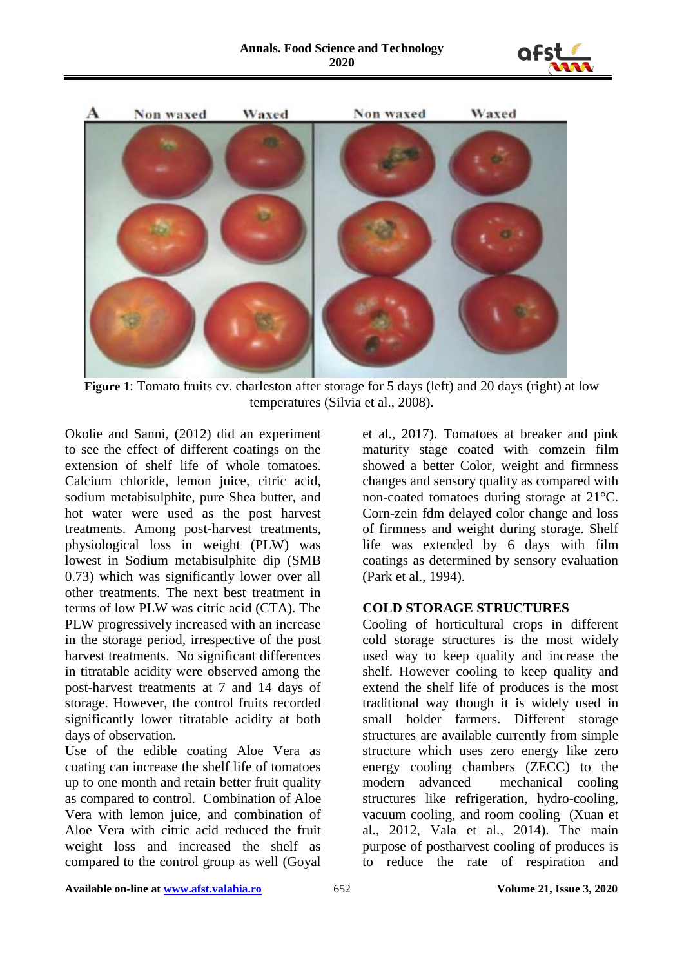



**Figure 1**: Tomato fruits cv. charleston after storage for 5 days (left) and 20 days (right) at low temperatures (Silvia et al., 2008).

Okolie and Sanni, (2012) did an experiment to see the effect of different coatings on the extension of shelf life of whole tomatoes. Calcium chloride, lemon juice, citric acid, sodium metabisulphite, pure Shea butter, and hot water were used as the post harvest treatments. Among post-harvest treatments, physiological loss in weight (PLW) was lowest in Sodium metabisulphite dip (SMB 0.73) which was significantly lower over all other treatments. The next best treatment in terms of low PLW was citric acid (CTA). The PLW progressively increased with an increase in the storage period, irrespective of the post harvest treatments. No significant differences in titratable acidity were observed among the post-harvest treatments at 7 and 14 days of storage. However, the control fruits recorded significantly lower titratable acidity at both days of observation.

Use of the edible coating Aloe Vera as coating can increase the shelf life of tomatoes up to one month and retain better fruit quality as compared to control. Combination of Aloe Vera with lemon juice, and combination of Aloe Vera with citric acid reduced the fruit weight loss and increased the shelf as compared to the control group as well (Goyal

et al., 2017). Tomatoes at breaker and pink maturity stage coated with comzein film showed a better Color, weight and firmness changes and sensory quality as compared with non-coated tomatoes during storage at 21°C. Corn-zein fdm delayed color change and loss of firmness and weight during storage. Shelf life was extended by 6 days with film coatings as determined by sensory evaluation (Park et al., 1994).

#### **COLD STORAGE STRUCTURES**

Cooling of horticultural crops in different cold storage structures is the most widely used way to keep quality and increase the shelf. However cooling to keep quality and extend the shelf life of produces is the most traditional way though it is widely used in small holder farmers. Different storage structures are available currently from simple structure which uses zero energy like zero energy cooling chambers (ZECC) to the modern advanced mechanical cooling structures like refrigeration, hydro-cooling, vacuum cooling, and room cooling (Xuan et al., 2012, Vala et al., 2014). The main purpose of postharvest cooling of produces is to reduce the rate of respiration and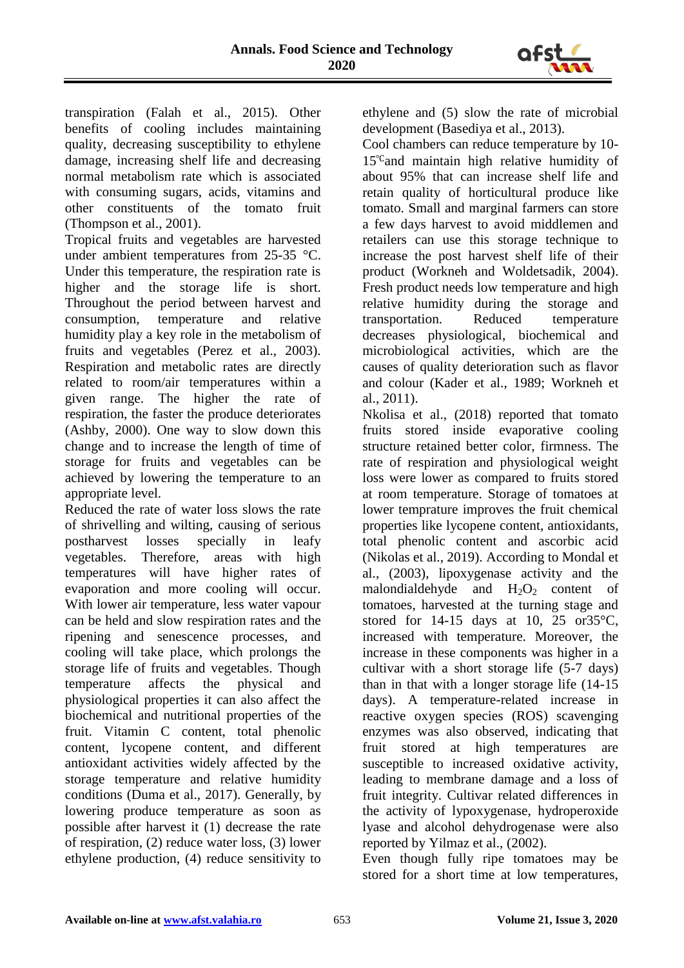

transpiration (Falah et al., 2015). Other benefits of cooling includes maintaining quality, decreasing susceptibility to ethylene damage, increasing shelf life and decreasing normal metabolism rate which is associated with consuming sugars, acids, vitamins and other constituents of the tomato fruit (Thompson et al., 2001).

Tropical fruits and vegetables are harvested under ambient temperatures from 25-35 °C. Under this temperature, the respiration rate is higher and the storage life is short. Throughout the period between harvest and consumption, temperature and relative humidity play a key role in the metabolism of fruits and vegetables (Perez et al., 2003). Respiration and metabolic rates are directly related to room/air temperatures within a given range. The higher the rate of respiration, the faster the produce deteriorates (Ashby, 2000). One way to slow down this change and to increase the length of time of storage for fruits and vegetables can be achieved by lowering the temperature to an appropriate level.

Reduced the rate of water loss slows the rate of shrivelling and wilting, causing of serious postharvest losses specially in leafy vegetables. Therefore, areas with high temperatures will have higher rates of evaporation and more cooling will occur. With lower air temperature, less water vapour can be held and slow respiration rates and the ripening and senescence processes, and cooling will take place, which prolongs the storage life of fruits and vegetables. Though temperature affects the physical and physiological properties it can also affect the biochemical and nutritional properties of the fruit. Vitamin C content, total phenolic content, lycopene content, and different antioxidant activities widely affected by the storage temperature and relative humidity conditions (Duma et al., 2017). Generally, by lowering produce temperature as soon as possible after harvest it (1) decrease the rate of respiration, (2) reduce water loss, (3) lower ethylene production, (4) reduce sensitivity to

ethylene and (5) slow the rate of microbial development (Basediya et al., 2013).

Cool chambers can reduce temperature by 10- 15℃and maintain high relative humidity of about 95% that can increase shelf life and retain quality of horticultural produce like tomato. Small and marginal farmers can store a few days harvest to avoid middlemen and retailers can use this storage technique to increase the post harvest shelf life of their product (Workneh and Woldetsadik, 2004). Fresh product needs low temperature and high relative humidity during the storage and transportation. Reduced temperature decreases physiological, biochemical and microbiological activities, which are the causes of quality deterioration such as flavor and colour (Kader et al., 1989; Workneh et al., 2011).

Nkolisa et al., (2018) reported that tomato fruits stored inside evaporative cooling structure retained better color, firmness. The rate of respiration and physiological weight loss were lower as compared to fruits stored at room temperature. Storage of tomatoes at lower temprature improves the fruit chemical properties like lycopene content, antioxidants, total phenolic content and ascorbic acid (Nikolas et al., 2019). According to Mondal et al., (2003), lipoxygenase activity and the malondialdehyde and  $H_2O_2$  content of tomatoes, harvested at the turning stage and stored for 14-15 days at 10, 25 or  $35^{\circ}$ C, increased with temperature. Moreover, the increase in these components was higher in a cultivar with a short storage life (5-7 days) than in that with a longer storage life (14-15 days). A temperature-related increase in reactive oxygen species (ROS) scavenging enzymes was also observed, indicating that fruit stored at high temperatures are susceptible to increased oxidative activity, leading to membrane damage and a loss of fruit integrity. Cultivar related differences in the activity of lypoxygenase, hydroperoxide lyase and alcohol dehydrogenase were also reported by Yilmaz et al., (2002).

Even though fully ripe tomatoes may be stored for a short time at low temperatures,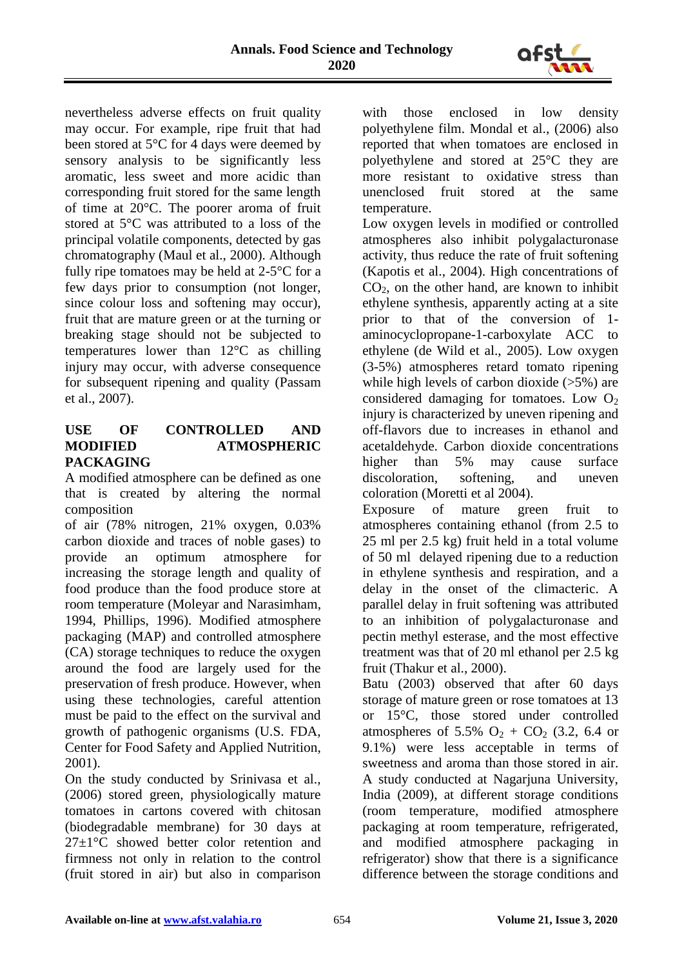

nevertheless adverse effects on fruit quality may occur. For example, ripe fruit that had been stored at 5°C for 4 days were deemed by sensory analysis to be significantly less aromatic, less sweet and more acidic than corresponding fruit stored for the same length of time at 20°C. The poorer aroma of fruit stored at 5°C was attributed to a loss of the principal volatile components, detected by gas chromatography (Maul et al., 2000). Although fully ripe tomatoes may be held at 2-5°C for a few days prior to consumption (not longer, since colour loss and softening may occur), fruit that are mature green or at the turning or breaking stage should not be subjected to temperatures lower than 12°C as chilling injury may occur, with adverse consequence for subsequent ripening and quality (Passam et al., 2007).

# **USE OF CONTROLLED AND MODIFIED ATMOSPHERIC PACKAGING**

A modified atmosphere can be defined as one that is created by altering the normal composition

of air (78% nitrogen, 21% oxygen, 0.03% carbon dioxide and traces of noble gases) to provide an optimum atmosphere for increasing the storage length and quality of food produce than the food produce store at room temperature (Moleyar and Narasimham, 1994, Phillips, 1996). Modified atmosphere packaging (MAP) and controlled atmosphere (CA) storage techniques to reduce the oxygen around the food are largely used for the preservation of fresh produce. However, when using these technologies, careful attention must be paid to the effect on the survival and growth of pathogenic organisms (U.S. FDA, Center for Food Safety and Applied Nutrition, 2001).

On the study conducted by Srinivasa et al., (2006) stored green, physiologically mature tomatoes in cartons covered with chitosan (biodegradable membrane) for 30 days at  $27\pm1\degree C$  showed better color retention and firmness not only in relation to the control (fruit stored in air) but also in comparison with those enclosed in low density polyethylene film. Mondal et al., (2006) also reported that when tomatoes are enclosed in polyethylene and stored at 25°C they are more resistant to oxidative stress than unenclosed fruit stored at the same temperature.

Low oxygen levels in modified or controlled atmospheres also inhibit polygalacturonase activity, thus reduce the rate of fruit softening (Kapotis et al., 2004). High concentrations of  $CO<sub>2</sub>$ , on the other hand, are known to inhibit ethylene synthesis, apparently acting at a site prior to that of the conversion of 1 aminocyclopropane-1-carboxylate ACC to ethylene (de Wild et al., 2005). Low oxygen (3-5%) atmospheres retard tomato ripening while high levels of carbon dioxide (>5%) are considered damaging for tomatoes. Low  $O<sub>2</sub>$ injury is characterized by uneven ripening and off-flavors due to increases in ethanol and acetaldehyde. Carbon dioxide concentrations higher than 5% may cause surface discoloration, softening, and uneven coloration (Moretti et al 2004).

Exposure of mature green fruit to atmospheres containing ethanol (from 2.5 to 25 ml per 2.5 kg) fruit held in a total volume of 50 ml delayed ripening due to a reduction in ethylene synthesis and respiration, and a delay in the onset of the climacteric. A parallel delay in fruit softening was attributed to an inhibition of polygalacturonase and pectin methyl esterase, and the most effective treatment was that of 20 ml ethanol per 2.5 kg fruit (Thakur et al., 2000).

Batu (2003) observed that after 60 days storage of mature green or rose tomatoes at 13 or 15°C, those stored under controlled atmospheres of 5.5%  $O_2$  + CO<sub>2</sub> (3.2, 6.4 or 9.1%) were less acceptable in terms of sweetness and aroma than those stored in air. A study conducted at Nagarjuna University, India (2009), at different storage conditions (room temperature, modified atmosphere packaging at room temperature, refrigerated, and modified atmosphere packaging in refrigerator) show that there is a significance difference between the storage conditions and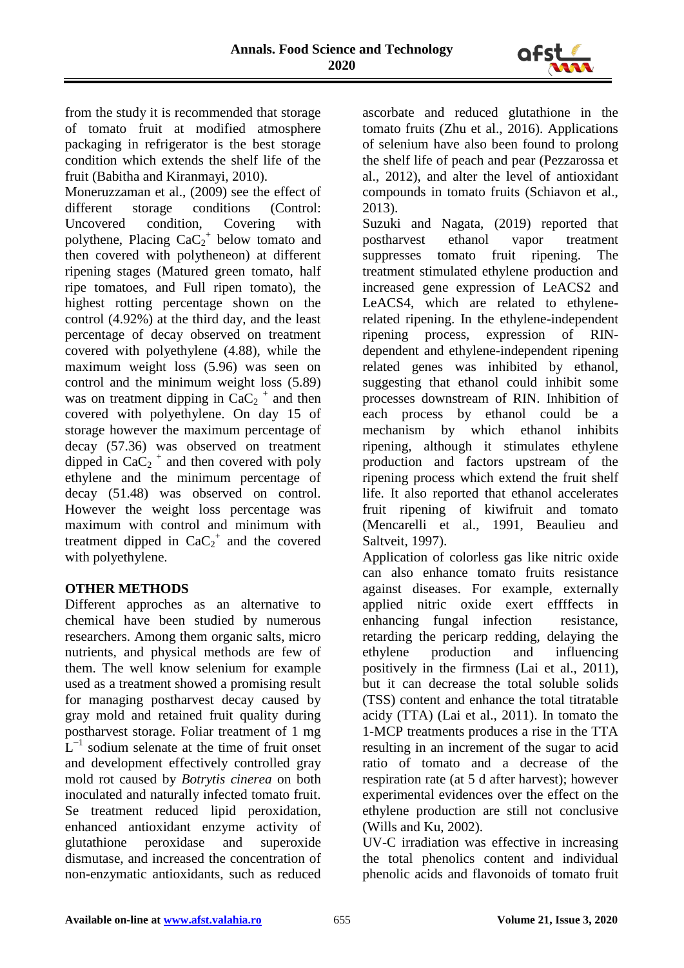

from the study it is recommended that storage of tomato fruit at modified atmosphere packaging in refrigerator is the best storage condition which extends the shelf life of the fruit (Babitha and Kiranmayi, 2010).

Moneruzzaman et al., (2009) see the effect of different storage conditions (Control: Uncovered condition, Covering with polythene, Placing  $CaC_2^+$  below tomato and then covered with polytheneon) at different ripening stages (Matured green tomato, half ripe tomatoes, and Full ripen tomato), the highest rotting percentage shown on the control (4.92%) at the third day, and the least percentage of decay observed on treatment covered with polyethylene (4.88), while the maximum weight loss (5.96) was seen on control and the minimum weight loss (5.89) was on treatment dipping in  $CaC_2$ <sup>+</sup> and then covered with polyethylene. On day 15 of storage however the maximum percentage of decay (57.36) was observed on treatment dipped in  $CaC_2$ <sup>+</sup> and then covered with poly ethylene and the minimum percentage of decay (51.48) was observed on control. However the weight loss percentage was maximum with control and minimum with treatment dipped in  $CaC_2^+$  and the covered with polyethylene.

# **OTHER METHODS**

Different approches as an alternative to chemical have been studied by numerous researchers. Among them organic salts, micro nutrients, and physical methods are few of them. The well know selenium for example used as a treatment showed a promising result for managing postharvest decay caused by gray mold and retained fruit quality during postharvest storage. Foliar treatment of 1 mg  $L^{-1}$  sodium selenate at the time of fruit onset and development effectively controlled gray mold rot caused by *Botrytis cinerea* on both inoculated and naturally infected tomato fruit. Se treatment reduced lipid peroxidation, enhanced antioxidant enzyme activity of glutathione peroxidase and superoxide dismutase, and increased the concentration of non-enzymatic antioxidants, such as reduced ascorbate and reduced glutathione in the tomato fruits (Zhu et al., 2016). Applications of selenium have also been found to prolong the shelf life of peach and pear (Pezzarossa et al., 2012), and alter the level of antioxidant compounds in tomato fruits (Schiavon et al., 2013).

Suzuki and Nagata, (2019) reported that postharvest ethanol vapor treatment suppresses tomato fruit ripening. The treatment stimulated ethylene production and increased gene expression of LeACS2 and LeACS4, which are related to ethylenerelated ripening. In the ethylene-independent ripening process, expression of RINdependent and ethylene-independent ripening related genes was inhibited by ethanol, suggesting that ethanol could inhibit some processes downstream of RIN. Inhibition of each process by ethanol could be a mechanism by which ethanol inhibits ripening, although it stimulates ethylene production and factors upstream of the ripening process which extend the fruit shelf life. It also reported that ethanol accelerates fruit ripening of kiwifruit and tomato (Mencarelli et al., 1991, Beaulieu and Saltveit, 1997).

Application of colorless gas like nitric oxide can also enhance tomato fruits resistance against diseases. For example, externally applied nitric oxide exert effffects in enhancing fungal infection resistance, retarding the pericarp redding, delaying the ethylene production and influencing positively in the firmness (Lai et al., 2011), but it can decrease the total soluble solids (TSS) content and enhance the total titratable acidy (TTA) (Lai et al., 2011). In tomato the 1-MCP treatments produces a rise in the TTA resulting in an increment of the sugar to acid ratio of tomato and a decrease of the respiration rate (at 5 d after harvest); however experimental evidences over the effect on the ethylene production are still not conclusive (Wills and Ku, 2002).

UV-C irradiation was effective in increasing the total phenolics content and individual phenolic acids and flavonoids of tomato fruit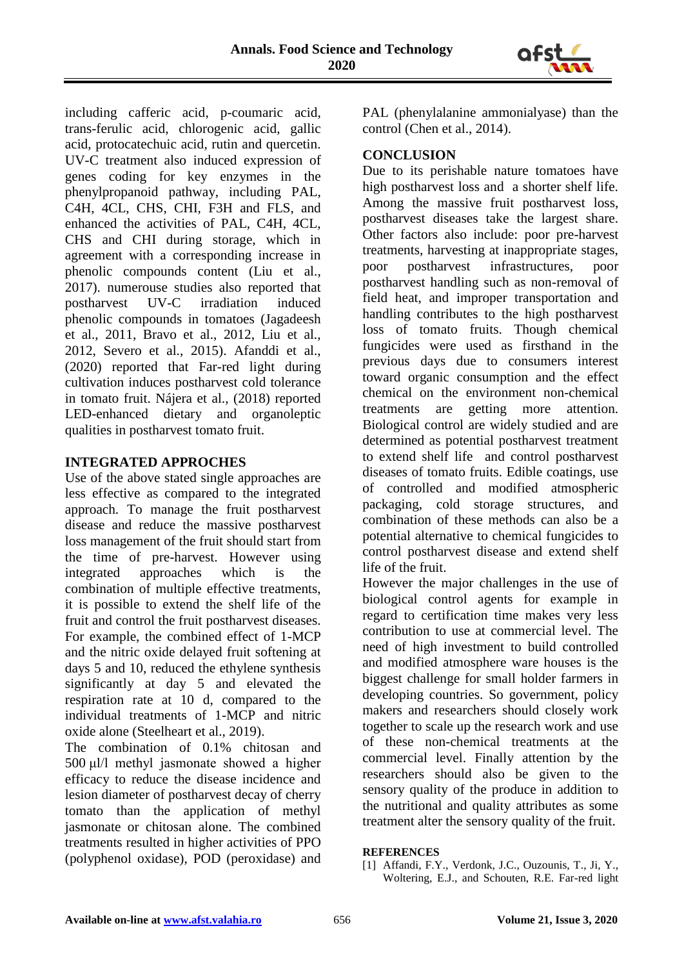

including cafferic acid, p-coumaric acid, trans-ferulic acid, chlorogenic acid, gallic acid, protocatechuic acid, rutin and quercetin. UV-C treatment also induced expression of genes coding for key enzymes in the phenylpropanoid pathway, including PAL, C4H, 4CL, CHS, CHI, F3H and FLS, and enhanced the activities of PAL, C4H, 4CL, CHS and CHI during storage, which in agreement with a corresponding increase in phenolic compounds content (Liu et al., 2017). numerouse studies also reported that postharvest UV-C irradiation induced phenolic compounds in tomatoes (Jagadeesh et al., 2011, Bravo et al., 2012, Liu et al., 2012, Severo et al., 2015). Afanddi et al., (2020) reported that Far-red light during cultivation induces postharvest cold tolerance in tomato fruit. Nájera et al., (2018) reported LED-enhanced dietary and organoleptic qualities in postharvest tomato fruit.

# **INTEGRATED APPROCHES**

Use of the above stated single approaches are less effective as compared to the integrated approach. To manage the fruit postharvest disease and reduce the massive postharvest loss management of the fruit should start from the time of pre-harvest. However using integrated approaches which is the combination of multiple effective treatments, it is possible to extend the shelf life of the fruit and control the fruit postharvest diseases. For example, the combined effect of 1-MCP and the nitric oxide delayed fruit softening at days 5 and 10, reduced the ethylene synthesis significantly at day 5 and elevated the respiration rate at 10 d, compared to the individual treatments of 1-MCP and nitric oxide alone (Steelheart et al., 2019).

The combination of 0.1% chitosan and 500 μl/l methyl jasmonate showed a higher efficacy to reduce the disease incidence and lesion diameter of postharvest decay of cherry tomato than the application of methyl jasmonate or chitosan alone. The combined treatments resulted in higher activities of PPO (polyphenol oxidase), POD (peroxidase) and

PAL (phenylalanine ammonialyase) than the control (Chen et al., 2014).

#### **CONCLUSION**

Due to its perishable nature tomatoes have high postharvest loss and a shorter shelf life. Among the massive fruit postharvest loss, postharvest diseases take the largest share. Other factors also include: poor pre-harvest treatments, harvesting at inappropriate stages, poor postharvest infrastructures, poor postharvest handling such as non-removal of field heat, and improper transportation and handling contributes to the high postharvest loss of tomato fruits. Though chemical fungicides were used as firsthand in the previous days due to consumers interest toward organic consumption and the effect chemical on the environment non-chemical treatments are getting more attention. Biological control are widely studied and are determined as potential postharvest treatment to extend shelf life and control postharvest diseases of tomato fruits. Edible coatings, use of controlled and modified atmospheric packaging, cold storage structures, and combination of these methods can also be a potential alternative to chemical fungicides to control postharvest disease and extend shelf life of the fruit.

However the major challenges in the use of biological control agents for example in regard to certification time makes very less contribution to use at commercial level. The need of high investment to build controlled and modified atmosphere ware houses is the biggest challenge for small holder farmers in developing countries. So government, policy makers and researchers should closely work together to scale up the research work and use of these non-chemical treatments at the commercial level. Finally attention by the researchers should also be given to the sensory quality of the produce in addition to the nutritional and quality attributes as some treatment alter the sensory quality of the fruit.

#### **REFERENCES**

[1] Affandi, F.Y., Verdonk, J.C., Ouzounis, T., Ji, Y., Woltering, E.J., and Schouten, R.E. Far-red light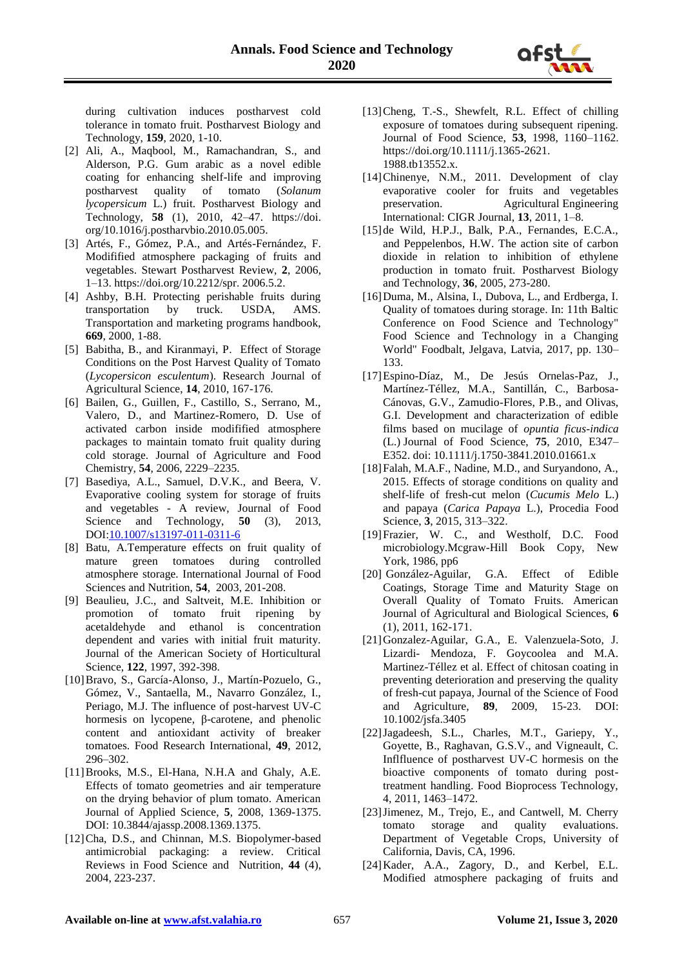during cultivation induces postharvest cold tolerance in tomato fruit. Postharvest Biology and Technology, **159**, 2020, 1-10.

- [2] Ali, A., Maqbool, M., Ramachandran, S., and Alderson, P.G. Gum arabic as a novel edible coating for enhancing shelf-life and improving postharvest quality of tomato (*Solanum lycopersicum* L.) fruit. Postharvest Biology and Technology, **58** (1), 2010, 42–47. https://doi. org/10.1016/j.postharvbio.2010.05.005.
- [3] Artés, F., Gómez, P.A., and Artés-Fernández, F. Modifified atmosphere packaging of fruits and vegetables. Stewart Postharvest Review, **2**, 2006, 1–13. https://doi.org/10.2212/spr. 2006.5.2.
- [4] Ashby, B.H. Protecting perishable fruits during transportation by truck. USDA, AMS. Transportation and marketing programs handbook, **669**, 2000, 1-88.
- [5] Babitha, B., and Kiranmayi, P. Effect of Storage Conditions on the Post Harvest Quality of Tomato (*Lycopersicon esculentum*). Research Journal of Agricultural Science, **14**, 2010, 167-176.
- [6] Bailen, G., Guillen, F., Castillo, S., Serrano, M., Valero, D., and Martinez-Romero, D. Use of activated carbon inside modifified atmosphere packages to maintain tomato fruit quality during cold storage. Journal of Agriculture and Food Chemistry, **54**, 2006, 2229–2235.
- [7] Basediya, A.L., Samuel, D.V.K., and Beera, V. Evaporative cooling system for storage of fruits and vegetables - A review, Journal of Food Science and Technology, 50 (3), 2013, DOI[:10.1007/s13197-011-0311-6](https://www.researchgate.net/deref/http:/dx.doi.org/10.1007/s13197-011-0311-6?_sg%5b0%5d=yPt_mIjRy_2R1BCOuqfXZ4qmkFsOfkPeyZEks-ORj7VA6Z4B9DUZCISRqZLPUQ4bAqGuE2sTYcnVrZ6p5tVslaiQdQ.iIUF4GIrpK3sxm-8TTizwQio5yg2fBAN29uuU_LDZ4VAqfd9XYYoyDCY4plzZFv8OLcTEvbI_OzdjON8KUjcyQ)
- [8] Batu, A.Temperature effects on fruit quality of mature green tomatoes during controlled atmosphere storage. International Journal of Food Sciences and Nutrition, **54**, 2003, 201-208.
- [9] Beaulieu, J.C., and Saltveit, M.E. Inhibition or promotion of tomato fruit ripening by acetaldehyde and ethanol is concentration dependent and varies with initial fruit maturity. Journal of the American Society of Horticultural Science, **122**, 1997, 392-398.
- [10]Bravo, S., García-Alonso, J., Martín-Pozuelo, G., Gómez, V., Santaella, M., Navarro González, I., Periago, M.J. The influence of post-harvest UV-C hormesis on lycopene, β-carotene, and phenolic content and antioxidant activity of breaker tomatoes. Food Research International, **49**, 2012, 296–302.
- [11]Brooks, M.S., El-Hana, N.H.A and Ghaly, A.E. Effects of tomato geometries and air temperature on the drying behavior of plum tomato. American Journal of Applied Science, **5**, 2008, 1369-1375. DOI: 10.3844/ajassp.2008.1369.1375.
- [12]Cha, D.S., and Chinnan, M.S. Biopolymer-based antimicrobial packaging: a review. Critical Reviews in Food Science and Nutrition, **44** (4), 2004, 223-237.
- [13] Cheng, T.-S., Shewfelt, R.L. Effect of chilling exposure of tomatoes during subsequent ripening. Journal of Food Science, **53**, 1998, 1160–1162. https://doi.org/10.1111/j.1365-2621. 1988.tb13552.x.
- [14]Chinenye, N.M., 2011. Development of clay evaporative cooler for fruits and vegetables<br>preservation. Agricultural Engineering Agricultural Engineering International: CIGR Journal, **13**, 2011, 1–8.
- [15]de Wild, H.P.J., Balk, P.A., Fernandes, E.C.A., and Peppelenbos, H.W. The action site of carbon dioxide in relation to inhibition of ethylene production in tomato fruit. Postharvest Biology and Technology, **36**, 2005, 273-280.
- [16] Duma, M., Alsina, I., Dubova, L., and Erdberga, I. Quality of tomatoes during storage. In: 11th Baltic Conference on Food Science and Technology" Food Science and Technology in a Changing World" Foodbalt, Jelgava, Latvia, 2017, pp. 130– 133.
- [17]Espino-Díaz, M., De Jesús Ornelas-Paz, J., Martínez-Téllez, M.A., Santillán, C., Barbosa-Cánovas, G.V., Zamudio-Flores, P.B., and Olivas, G.I. Development and characterization of edible films based on mucilage of *opuntia ficus-indica* (L.) Journal of Food Science, **75**, 2010, E347– E352. doi: 10.1111/j.1750-3841.2010.01661.x
- [18]Falah, M.A.F., Nadine, M.D., and Suryandono, A., 2015. Effects of storage conditions on quality and shelf-life of fresh-cut melon (*Cucumis Melo* L.) and papaya (*Carica Papaya* L.), Procedia Food Science, **3**, 2015, 313–322.
- [19]Frazier, W. C., and Westholf, D.C. Food microbiology.Mcgraw-Hill Book Copy, New York, 1986, pp6
- [20] González-Aguilar, G.A. Effect of Edible Coatings, Storage Time and Maturity Stage on Overall Quality of Tomato Fruits. American Journal of Agricultural and Biological Sciences, **6** (1), 2011, 162-171.
- [21]Gonzalez-Aguilar, G.A., E. Valenzuela-Soto, J. Lizardi- Mendoza, F. Goycoolea and M.A. Martinez-Téllez et al. Effect of chitosan coating in preventing deterioration and preserving the quality of fresh-cut papaya, Journal of the Science of Food and Agriculture, **89**, 2009, 15-23. DOI: 10.1002/jsfa.3405
- [22]Jagadeesh, S.L., Charles, M.T., Gariepy, Y., Goyette, B., Raghavan, G.S.V., and Vigneault, C. Inflfluence of postharvest UV-C hormesis on the bioactive components of tomato during posttreatment handling. Food Bioprocess Technology, 4, 2011, 1463–1472.
- [23]Jimenez, M., Trejo, E., and Cantwell, M. Cherry tomato storage and quality evaluations. Department of Vegetable Crops, University of California, Davis, CA, 1996.
- [24]Kader, A.A., Zagory, D., and Kerbel, E.L. Modified atmosphere packaging of fruits and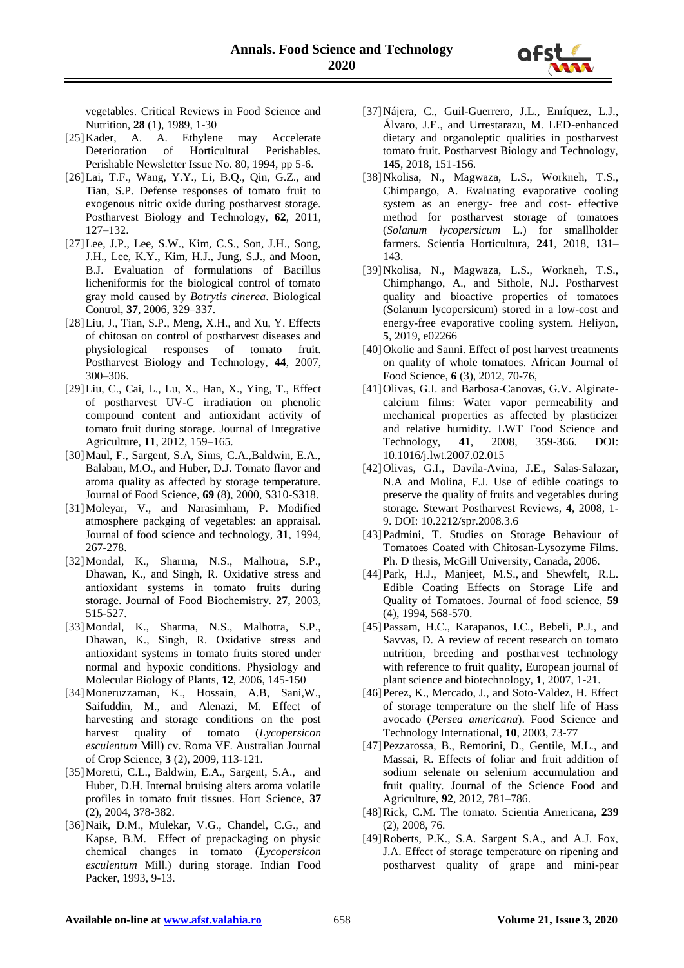vegetables. Critical Reviews in Food Science and Nutrition, **28** (1), 1989, 1-30

- [25]Kader, A. A. Ethylene may Accelerate Deterioration of Horticultural Perishables. Perishable Newsletter Issue No. 80, 1994, pp 5-6.
- [26]Lai, T.F., Wang, Y.Y., Li, B.Q., Qin, G.Z., and Tian, S.P. Defense responses of tomato fruit to exogenous nitric oxide during postharvest storage. Postharvest Biology and Technology, **62**, 2011, 127–132.
- [27]Lee, J.P., Lee, S.W., Kim, C.S., Son, J.H., Song, J.H., Lee, K.Y., Kim, H.J., Jung, S.J., and Moon, B.J. Evaluation of formulations of Bacillus licheniformis for the biological control of tomato gray mold caused by *Botrytis cinerea*. Biological Control, **37**, 2006, 329–337.
- [28]Liu, J., Tian, S.P., Meng, X.H., and Xu, Y. Effects of chitosan on control of postharvest diseases and physiological responses of tomato fruit. Postharvest Biology and Technology, **44**, 2007, 300–306.
- [29]Liu, C., Cai, L., Lu, X., Han, X., Ying, T., Effect of postharvest UV-C irradiation on phenolic compound content and antioxidant activity of tomato fruit during storage. Journal of Integrative Agriculture, **11**, 2012, 159–165.
- [30]Maul, F., Sargent, S.A, Sims, C.A.,Baldwin, E.A., Balaban, M.O., and Huber, D.J. Tomato flavor and aroma quality as affected by storage temperature. Journal of Food Science, **69** (8), 2000, S310-S318.
- [31]Moleyar, V., and Narasimham, P. Modified atmosphere packging of vegetables: an appraisal. Journal of food science and technology, **31**, 1994, 267-278.
- [32]Mondal, K., Sharma, N.S., Malhotra, S.P., Dhawan, K., and Singh, R. Oxidative stress and antioxidant systems in tomato fruits during storage. Journal of Food Biochemistry. **27**, 2003, 515-527.
- [33]Mondal, K., Sharma, N.S., Malhotra, S.P., Dhawan, K., Singh, R. Oxidative stress and antioxidant systems in tomato fruits stored under normal and hypoxic conditions. Physiology and Molecular Biology of Plants, **12**, 2006, 145-150
- [34]Moneruzzaman, K., Hossain, A.B, Sani,W., Saifuddin, M., and Alenazi, M. Effect of harvesting and storage conditions on the post harvest quality of tomato (*Lycopersicon esculentum* Mill) cv. Roma VF. Australian Journal of Crop Science, **3** (2), 2009, 113-121.
- [35]Moretti, C.L., Baldwin, E.A., Sargent, S.A., and Huber, D.H. Internal bruising alters aroma volatile profiles in tomato fruit tissues. Hort Science, **37** (2), 2004, 378-382.
- [36]Naik, D.M., Mulekar, V.G., Chandel, C.G., and Kapse, B.M. Effect of prepackaging on physic chemical changes in tomato (*Lycopersicon esculentum* Mill.) during storage. Indian Food Packer, 1993, 9-13.
- [37]Nájera, C., Guil-Guerrero, J.L., Enríquez, L.J., Álvaro, J.E., and Urrestarazu, M. LED-enhanced dietary and organoleptic qualities in postharvest tomato fruit. Postharvest Biology and Technology, **145**, 2018, 151-156.
- [38]Nkolisa, N., Magwaza, L.S., Workneh, T.S., Chimpango, A. Evaluating evaporative cooling system as an energy- free and cost- effective method for postharvest storage of tomatoes (*Solanum lycopersicum* L.) for smallholder farmers. Scientia Horticultura, **241**, 2018, 131– 143.
- [39]Nkolisa, N., Magwaza, L.S., Workneh, T.S., Chimphango, A., and Sithole, N.J. Postharvest quality and bioactive properties of tomatoes (Solanum lycopersicum) stored in a low-cost and energy-free evaporative cooling system. Heliyon, **5**, 2019, e02266
- [40] Okolie and Sanni. Effect of post harvest treatments on quality of whole tomatoes. African Journal of Food Science, **6** (3), 2012, 70-76,
- [41]Olivas, G.I. and Barbosa-Canovas, G.V. Alginatecalcium films: Water vapor permeability and mechanical properties as affected by plasticizer and relative humidity. LWT Food Science and Technology, **41**, 2008, 359-366. DOI: 10.1016/j.lwt.2007.02.015
- [42]Olivas, G.I., Davila-Avina, J.E., Salas-Salazar, N.A and Molina, F.J. Use of edible coatings to preserve the quality of fruits and vegetables during storage. Stewart Postharvest Reviews, **4**, 2008, 1- 9. DOI: 10.2212/spr.2008.3.6
- [43]Padmini, T. Studies on Storage Behaviour of Tomatoes Coated with Chitosan-Lysozyme Films. Ph. D thesis, McGill University, Canada, 2006.
- [44]Park, H.J., Manjeet, M.S., and Shewfelt, R.L. Edible Coating Effects on Storage Life and Quality of Tomatoes. Journal of food science, **59**  (4), 1994, 568-570.
- [45]Passam, H.C., Karapanos, I.C., Bebeli, P.J., and Savvas, D. A review of recent research on tomato nutrition, breeding and postharvest technology with reference to fruit quality, European journal of plant science and biotechnology, **1**, 2007, 1-21.
- [46] Perez, K., Mercado, J., and Soto-Valdez, H. Effect of storage temperature on the shelf life of Hass avocado (*Persea americana*). Food Science and Technology International, **10**, 2003, 73-77
- [47]Pezzarossa, B., Remorini, D., Gentile, M.L., and Massai, R. Effects of foliar and fruit addition of sodium selenate on selenium accumulation and fruit quality. Journal of the Science Food and Agriculture, **92**, 2012, 781–786.
- [48]Rick, C.M. The tomato. Scientia Americana, **239**  (2), 2008, 76.
- [49]Roberts, P.K., S.A. Sargent S.A., and A.J. Fox, J.A. Effect of storage temperature on ripening and postharvest quality of grape and mini-pear